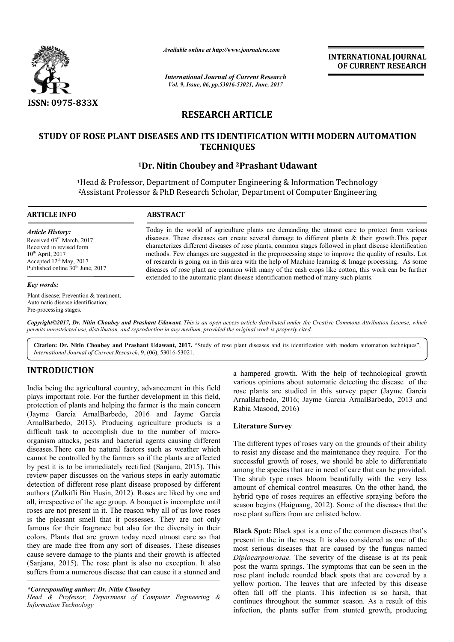

*Available online at http://www.journal http://www.journalcra.com*

*International Journal of Current Research Vol. 9, Issue, 06, pp.53016-53021, June, 2017*

**INTERNATIONAL JOURNAL OF CURRENT RESEARCH** 

# **RESEARCH ARTICLE**

# STUDY OF ROSE PLANT DISEASES AND ITS IDENTIFICATION WITH MODERN AUTOMATION **TECHNIQUES**

# <sup>1</sup>Dr. Nitin Choubey and <sup>2</sup>Prashant Udawant

<sup>1</sup>Head & Professor, Department of Computer Engineering & Information Technology <sup>2</sup>Assistant Professor & PhD Research Scholar, Department of Computer Engineering

#### **ARTICLE INFO ABSTRACT**

*Article History:* Received 03rd March, 2017 Received in revised form  $10^{th}$  April, 2017 Accepted  $12<sup>th</sup>$  May, 2017 Published online 30<sup>th</sup> June, 2017

#### *Key words:*

Plant disease; Prevention & treatment; Automatic disease identification; Pre-processing stages.

Today in the world of agriculture plants are demanding the utmost care to protect from various Today in the world of agriculture plants are demanding the utmost care to protect from various diseases. These diseases can create several damage to different plants  $\&$  their growth. This paper characterizes different diseases of rose plants, common stages followed in plant disease identification methods. Few changes are suggested in the preprocessing stage to improve the quality of results. Lot of research is going on in this area with the help of Machine learning  $\&$  Image processing. As some diseases of rose plant are common with many of the cash crops like cotton, this work can be further extended to the automatic plant disease identification method of many such plants. methods. Few changes are suggested in the preprocessing stage to improve the quality of results. Lot of research is going on in this area with the help of Machine learning & Image processing. As some diseases of rose plant

*Copyright©2017, Dr. Nitin Choubey and Prashant Udawant Udawant. This is an open access article distributed under the Creative Commons Att the Attribution License, which permits unrestricted use, distribution, and reproduction in any medium, provided the original work is properly cited.*

Citation: Dr. Nitin Choubey and Prashant Udawant, 2017. "Study of rose plant diseases and its identification with modern automation techniques", *International Journal of Current Research*, 9, (06), 53016 53016-53021.

# **INTRODUCTION**

India being the agricultural country, advancement in this field plays important role. For the further development in this field, protection of plants and helping the farmer is the main concern (Jayme Garcia ArnalBarbedo, 2016 and Jayme Garcia ArnalBarbedo, 2013). Producing agriculture products is a ArnalBarbedo, 2013). Producing agriculture products is a difficult task to accomplish due to the number of microorganism attacks, pests and bacterial agents causing different diseases.There can be natural factors such as weather which cannot be controlled by the farmers so if the plants are affected by pest it is to be immediately rectified (Sanjana, 2015). This review paper discusses on the various steps in early automatic detection of different rose plant disease proposed by different authors (Zulkifli Bin Husin, 2012). Roses are liked by one and all, irrespective of the age group. A bouquet is incomplete until roses are not present in it. The reason why all of us love roses is the pleasant smell that it possesses. They are not only famous for their fragrance but also for the diversity in their colors. Plants that are grown today need utmost care so that they are made free from any sort of diseases. These diseases cause severe damage to the plants and their growth is affected (Sanjana, 2015). The rose plant is also no exception. It also suffers from a numerous disease that can cause it a stunned and a<br>
a hampered growth. With the help of technological growth<br>
rail country, advancement in this field<br>
rose plants are sudiced in this survey paper (Jagme Garcas<br>
or the further development in this field<br>
rose plants are su

## *\*Corresponding author: Dr. Nitin Choubey*

*Head & Professor, Department of Computer Engineering & Information Technology*

a hampered growth. With the help of technological growth various opinions about automatic detecting the disease of the rose plants are studied in this survey paper (Jayme Garcia ArnalBarbedo, 2016; Jayme Garcia ArnalBarbedo ArnalBarbedo, 2013 and Rabia Masood, 2016)

## **Literature Survey**

The different types of roses vary on the grounds of their ability to resist any disease and the maintenance they require. For the successful growth of roses, we should be able to differentiate among the species that are in need of care that can be provided. The shrub type roses bloom beautifully with the very less amount of chemical control measures. On the other hand, the hybrid type of roses requires an effective spraying before the season begins (Haiguang, 2012). Some of the diseases that the rose plant suffers from are enlisted below. In types of roses vary on the grounds of their ability y disease and the maintenance they require. For the growth of roses, we should be able to differentiate species that are in need of care that can be provided. The shrub type roses bloom beautifully with the very less amount of chemical control measures. On the other hand, the hybrid type of roses requires an effective spraying before the season begins (Haiguang, 2012). Some of t

**Black Spot:** Black spot is a one of the common diseases that's present in the in the roses. It is also considered as one of the most serious diseases that are caused by the fungus named *Diplocarponrosae*. The severity of the disease is at its peak post the warm springs. The symptoms that can be seen in the rose plant include rounded black spots that are covered by a yellow portion. The leaves that are infected by this disease often fall off the plants. This infection is so harsh, that continues throughout the summer season. As a result of this infection, the plants suffer from stunted growth, producing mut suffers from are enlisted below.<br> **pot:** Black spot is a one of the common diseases that's<br>
in the in the roses. It is also considered as one of the<br>
rious diseases that are caused by the fungus named<br> *rponrosae*. The lant include rounded black spots that are covered by a portion. The leaves that are infected by this disease fall off the plants. This infection is so harsh, that **INTERNATIONAL JOURNAL CONFORMATION CONTROVAL CONFORMATION CONTROVERS (CONFORMATION CONFORMATION CONFORMATION CONFORMATION CONFORMATION (CONFORMATION AND AND CONFORMATION (CONFORMATION AND CONFORMATION (CONFORMATION AND C**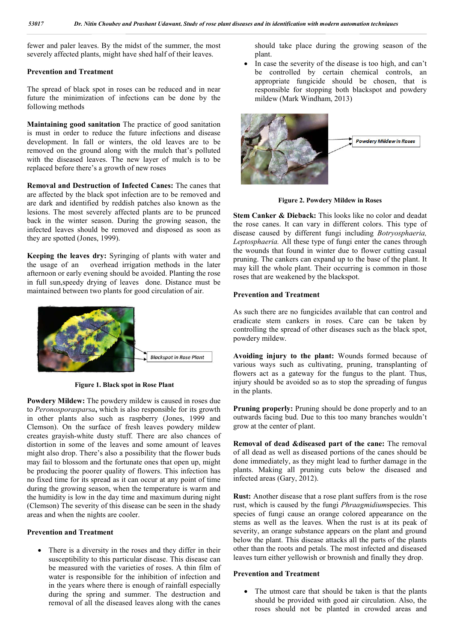fewer and paler leaves. By the midst of the summer, the most severely affected plants, might have shed half of their leaves.

## **Prevention and Treatment**

The spread of black spot in roses can be reduced and in near future the minimization of infections can be done by the following methods

**Maintaining good sanitation** The practice of good sanitation is must in order to reduce the future infections and disease development. In fall or winters, the old leaves are to be removed on the ground along with the mulch that's polluted with the diseased leaves. The new layer of mulch is to be replaced before there's a growth of new roses

**Removal and Destruction of Infected Canes:** The canes that are affected by the black spot infection are to be removed and are dark and identified by reddish patches also known as the lesions. The most severely affected plants are to be prunced back in the winter season. During the growing season, the infected leaves should be removed and disposed as soon as they are spotted (Jones, 1999).

**Keeping the leaves dry:** Syringing of plants with water and the usage of an overhead irrigation methods in the later afternoon or early evening should be avoided. Planting the rose in full sun,speedy drying of leaves done. Distance must be maintained between two plants for good circulation of air.



**Figure 1. Black spot in Rose Plant**

**Powdery Mildew:** The powdery mildew is caused in roses due to *Peronosporasparsa***,** which is also responsible for its growth in other plants also such as raspberry (Jones, 1999 and Clemson). On the surface of fresh leaves powdery mildew creates grayish-white dusty stuff. There are also chances of distortion in some of the leaves and some amount of leaves might also drop. There's also a possibility that the flower buds may fail to blossom and the fortunate ones that open up, might be producing the poorer quality of flowers. This infection has no fixed time for its spread as it can occur at any point of time during the growing season, when the temperature is warm and the humidity is low in the day time and maximum during night (Clemson) The severity of this disease can be seen in the shady areas and when the nights are cooler.

# **Prevention and Treatment**

• There is a diversity in the roses and they differ in their susceptibility to this particular disease. This disease can be measured with the varieties of roses. A thin film of water is responsible for the inhibition of infection and in the years where there is enough of rainfall especially during the spring and summer. The destruction and removal of all the diseased leaves along with the canes should take place during the growing season of the plant.

 In case the severity of the disease is too high, and can't be controlled by certain chemical controls, an appropriate fungicide should be chosen, that is responsible for stopping both blackspot and powdery mildew (Mark Windham, 2013)



**Figure 2. Powdery Mildew in Roses**

**Stem Canker & Dieback:** This looks like no color and deadat the rose canes. It can vary in different colors. This type of disease caused by different fungi including *Botryosphaeria, Leptosphaeria.* All these type of fungi enter the canes through the wounds that found in winter due to flower cutting casual pruning. The cankers can expand up to the base of the plant. It may kill the whole plant. Their occurring is common in those roses that are weakened by the blackspot.

## **Prevention and Treatment**

As such there are no fungicides available that can control and eradicate stem cankers in roses. Care can be taken by controlling the spread of other diseases such as the black spot, powdery mildew.

**Avoiding injury to the plant:** Wounds formed because of various ways such as cultivating, pruning, transplanting of flowers act as a gateway for the fungus to the plant. Thus, injury should be avoided so as to stop the spreading of fungus in the plants.

**Pruning properly:** Pruning should be done properly and to an outwards facing bud. Due to this too many branches wouldn't grow at the center of plant.

**Removal of dead &diseased part of the cane:** The removal of all dead as well as diseased portions of the canes should be done immediately, as they might lead to further damage in the plants. Making all pruning cuts below the diseased and infected areas (Gary, 2012).

**Rust:** Another disease that a rose plant suffers from is the rose rust, which is caused by the fungi *Phraagmidium*species. This species of fungi cause an orange colored appearance on the stems as well as the leaves. When the rust is at its peak of severity, an orange substance appears on the plant and ground below the plant. This disease attacks all the parts of the plants other than the roots and petals. The most infected and diseased leaves turn either yellowish or brownish and finally they drop.

# **Prevention and Treatment**

• The utmost care that should be taken is that the plants should be provided with good air circulation. Also, the roses should not be planted in crowded areas and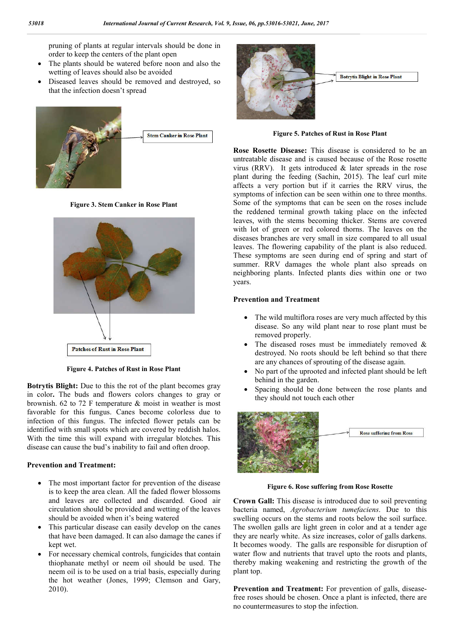pruning of plants at regular intervals should be done in order to keep the centers of the plant open

- The plants should be watered before noon and also the wetting of leaves should also be avoided
- Diseased leaves should be removed and destroyed, so that the infection doesn't spread



**Figure 3. Stem Canker in Rose Plant**



**Figure 4. Patches of Rust in Rose Plant**

**Botrytis Blight:** Due to this the rot of the plant becomes gray in color**.** The buds and flowers colors changes to gray or brownish. 62 to 72 F temperature & moist in weather is most favorable for this fungus. Canes become colorless due to infection of this fungus. The infected flower petals can be identified with small spots which are covered by reddish halos. With the time this will expand with irregular blotches. This disease can cause the bud's inability to fail and often droop.

### **Prevention and Treatment:**

- The most important factor for prevention of the disease is to keep the area clean. All the faded flower blossoms and leaves are collected and discarded. Good air circulation should be provided and wetting of the leaves should be avoided when it's being watered
- This particular disease can easily develop on the canes that have been damaged. It can also damage the canes if kept wet.
- For necessary chemical controls, fungicides that contain thiophanate methyl or neem oil should be used. The neem oil is to be used on a trial basis, especially during the hot weather (Jones, 1999; Clemson and Gary, 2010).



**Figure 5. Patches of Rust in Rose Plant**

**Rose Rosette Disease:** This disease is considered to be an untreatable disease and is caused because of the Rose rosette virus (RRV). It gets introduced & later spreads in the rose plant during the feeding (Sachin, 2015). The leaf curl mite affects a very portion but if it carries the RRV virus, the symptoms of infection can be seen within one to three months. Some of the symptoms that can be seen on the roses include the reddened terminal growth taking place on the infected leaves, with the stems becoming thicker. Stems are covered with lot of green or red colored thorns. The leaves on the diseases branches are very small in size compared to all usual leaves. The flowering capability of the plant is also reduced. These symptoms are seen during end of spring and start of summer. RRV damages the whole plant also spreads on neighboring plants. Infected plants dies within one or two years.

#### **Prevention and Treatment**

- The wild multiflora roses are very much affected by this disease. So any wild plant near to rose plant must be removed properly.
- The diseased roses must be immediately removed  $\&$ destroyed. No roots should be left behind so that there are any chances of sprouting of the disease again.
- No part of the uprooted and infected plant should be left behind in the garden.
- Spacing should be done between the rose plants and they should not touch each other



**Figure 6. Rose suffering from Rose Rosette**

**Crown Gall:** This disease is introduced due to soil preventing bacteria named, *Agrobacterium tumefaciens*. Due to this swelling occurs on the stems and roots below the soil surface. The swollen galls are light green in color and at a tender age they are nearly white. As size increases, color of galls darkens. It becomes woody. The galls are responsible for disruption of water flow and nutrients that travel upto the roots and plants, thereby making weakening and restricting the growth of the plant top.

Prevention and Treatment: For prevention of galls, diseasefree roses should be chosen. Once a plant is infected, there are no countermeasures to stop the infection.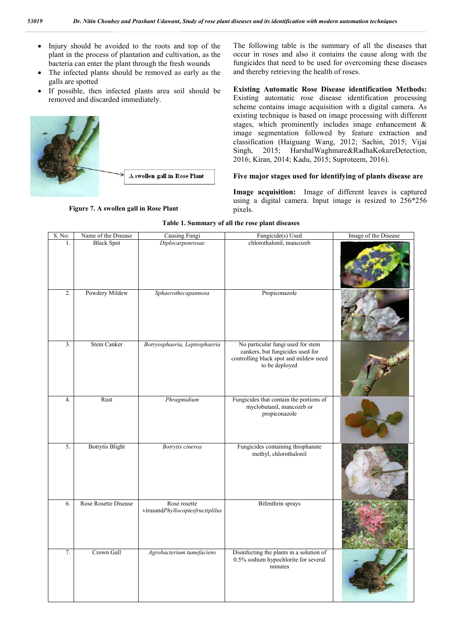- Injury should be avoided to the roots and top of the plant in the process of plantation and cultivation, as the bacteria can enter the plant through the fresh wounds
- The infected plants should be removed as early as the galls are spotted
- If possible, then infected plants area soil should be removed and discarded immediately.



**Figure 7. A swollen gall in Rose Plant**

The following table is the summary of all the diseases that occur in roses and also it contains the cause along with the fungicides that need to be used for overcoming these diseases and thereby retrieving the health of roses.

**Existing Automatic Rose Disease identification Methods:** Existing automatic rose disease identification processing scheme contains image acquisition with a digital camera. As existing technique is based on image processing with different stages, which prominently includes image enhancement & image segmentation followed by feature extraction and classification (Haiguang Wang, 2012; Sachin, 2015; Vijai Singh, 2015; HarshalWaghmare&RadhaKokareDetection, 2016; Kiran, 2014; Kadu, 2015; Suproteem, 2016).

#### **Five major stages used for identifying of plants disease are**

**Image acquisition:** Image of different leaves is captured using a digital camera. Input image is resized to 256\*256 pixels.

| S. No:           | Name of the Disease    | Causing Fungi                                    | Fungicide(s) Used                                                                                                                 | Image of the Disease |
|------------------|------------------------|--------------------------------------------------|-----------------------------------------------------------------------------------------------------------------------------------|----------------------|
| 1.               | <b>Black Spot</b>      | Diplocarponrosae                                 | chlorothalonil, mancozeb                                                                                                          |                      |
| $\overline{2}$ . | Powdery Mildew         | Sphaerothecapannosa                              | Propiconazole                                                                                                                     |                      |
| 3.               | <b>Stem Canker</b>     | Botryosphaeria, Leptosphaeria                    | No particular fungi used for stem<br>cankers, but fungicides used for<br>controlling black spot and mildew need<br>to be deployed |                      |
| 4.               | Rust                   | Phragmidium                                      | Fungicides that contain the portions of<br>myclobutanil, mancozeb or<br>propiconazole                                             |                      |
| 5.               | <b>Botrytis Blight</b> | Botrytis cinerea                                 | Fungicides containing thiophanate<br>methyl, chlorothalonil                                                                       |                      |
| 6.               | Rose Rosette Disease   | Rose rosette<br>virusandPhyllocoptesfructiplilus | <b>Bifenthrin</b> sprays                                                                                                          |                      |
| 7.               | Crown Gall             | Agrobacterium tumefaciens                        | Disinfecting the plants in a solution of<br>0.5% sodium hypochlorite for several<br>minutes                                       |                      |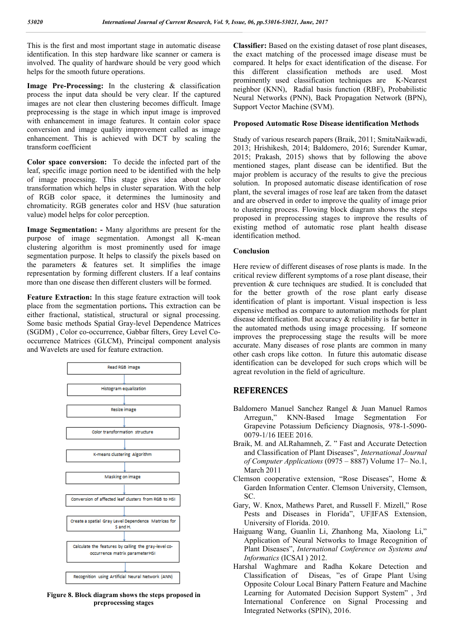This is the first and most important stage in automatic disease identification. In this step hardware like scanner or camera is involved. The quality of hardware should be very good which helps for the smooth future operations.

**Image Pre-Processing:** In the clustering & classification process the input data should be very clear. If the captured images are not clear then clustering becomes difficult. Image preprocessing is the stage in which input image is improved with enhancement in image features. It contain color space conversion and image quality improvement called as image enhancement. This is achieved with DCT by scaling the transform coefficient

**Color space conversion:** To decide the infected part of the leaf, specific image portion need to be identified with the help of image processing. This stage gives idea about color transformation which helps in cluster separation. With the help of RGB color space, it determines the luminosity and chromaticity. RGB generates color and HSV (hue saturation value) model helps for color perception.

**Image Segmentation: -** Many algorithms are present for the purpose of image segmentation. Amongst all K-mean clustering algorithm is most prominently used for image segmentation purpose. It helps to classify the pixels based on the parameters  $\&$  features set. It simplifies the image representation by forming different clusters. If a leaf contains more than one disease then different clusters will be formed.

**Feature Extraction:** In this stage feature extraction will took place from the segmentation portions**.** This extraction can be either fractional, statistical, structural or signal processing. Some basic methods Spatial Gray-level Dependence Matrices (SGDM) , Color co-occurrence, Gabbar filters, Grey Level Cooccurrence Matrices (GLCM), Principal component analysis and Wavelets are used for feature extraction.



**Figure 8. Block diagram shows the steps proposed in preprocessing stages**

**Classifier:** Based on the existing dataset of rose plant diseases, the exact matching of the processed image disease must be compared. It helps for exact identification of the disease. For this different classification methods are used. Most prominently used classification techniques are K-Nearest neighbor (KNN), Radial basis function (RBF), Probabilistic Neural Networks (PNN), Back Propagation Network (BPN), Support Vector Machine (SVM).

## **Proposed Automatic Rose Disease identification Methods**

Study of various research papers (Braik, 2011; SmitaNaikwadi, 2013; Hrishikesh, 2014; Baldomero, 2016; Surender Kumar, 2015; Prakash, 2015) shows that by following the above mentioned stages, plant disease can be identified. But the major problem is accuracy of the results to give the precious solution. In proposed automatic disease identification of rose plant, the several images of rose leaf are taken from the dataset and are observed in order to improve the quality of image prior to clustering process. Flowing block diagram shows the steps proposed in preprocessing stages to improve the results of existing method of automatic rose plant health disease identification method.

## **Conclusion**

Here review of different diseases of rose plants is made. In the critical review different symptoms of a rose plant disease, their prevention & cure techniques are studied. It is concluded that for the better growth of the rose plant early disease identification of plant is important. Visual inspection is less expensive method as compare to automation methods for plant disease identification. But accuracy & reliability is far better in the automated methods using image processing. If someone improves the preprocessing stage the results will be more accurate. Many diseases of rose plants are common in many other cash crops like cotton. In future this automatic disease identification can be developed for such crops which will be agreat revolution in the field of agriculture.

# **REFERENCES**

- Baldomero Manuel Sanchez Rangel & Juan Manuel Ramos Arreguın," KNN-Based Image Segmentation For Grapevine Potassium Deficiency Diagnosis, 978-1-5090- 0079-1/16 IEEE 2016.
- Braik, M. and ALRahamneh, Z. " Fast and Accurate Detection and Classification of Plant Diseases", *International Journal of Computer Applications* (0975 – 8887) Volume 17– No.1, March 2011
- Clemson cooperative extension, "Rose Diseases", Home & Garden Information Center. Clemson University, Clemson, SC.
- Gary, W. Knox, Mathews Paret, and Russell F. Mizell," Rose Pests and Diseases in Florida", UF|IFAS Extension, University of Florida. 2010.
- Haiguang Wang, Guanlin Li, Zhanhong Ma, Xiaolong Li," Application of Neural Networks to Image Recognition of Plant Diseases", *International Conference on Systems and Informatics* (ICSAI ) 2012.
- Harshal Waghmare and Radha Kokare Detection and Classification of Diseas, "es of Grape Plant Using Opposite Colour Local Binary Pattern Feature and Machine Learning for Automated Decision Support System" , 3rd International Conference on Signal Processing and Integrated Networks (SPIN), 2016.